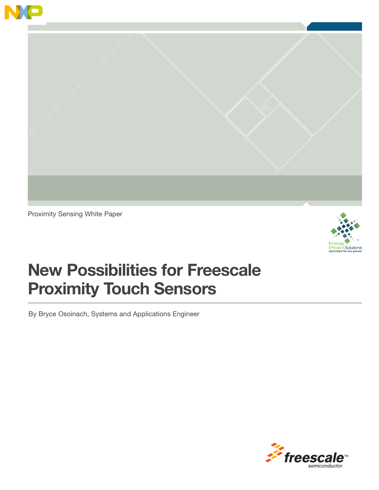



Proximity Sensing White Paper



## New Possibilities for Freescale Proximity Touch Sensors

By Bryce Osoinach, Systems and Applications Engineer

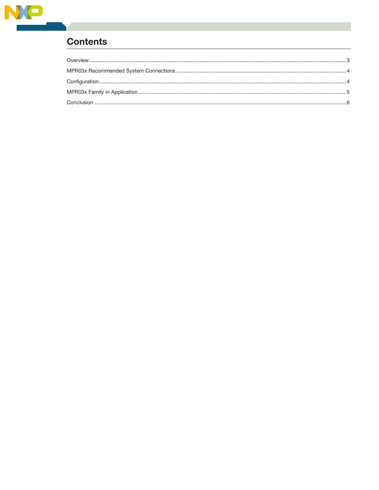

## **Contents**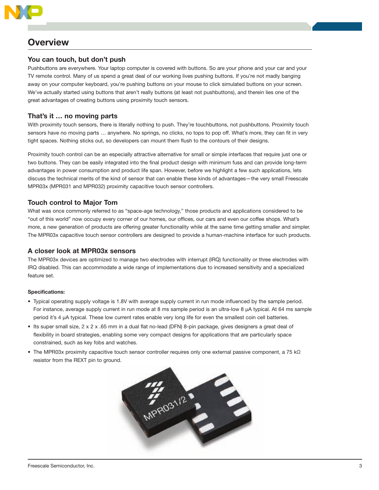

## **Overview**

## You can touch, but don't push

Pushbuttons are everywhere. Your laptop computer is covered with buttons. So are your phone and your car and your TV remote control. Many of us spend a great deal of our working lives pushing buttons. If you're not madly banging away on your computer keyboard, you're pushing buttons on your mouse to click simulated buttons on your screen. We've actually started using buttons that aren't really buttons (at least not pushbuttons), and therein lies one of the great advantages of creating buttons using proximity touch sensors.

## That's it … no moving parts

With proximity touch sensors, there is literally nothing to push. They're touchbuttons, not pushbuttons. Proximity touch sensors have no moving parts … anywhere. No springs, no clicks, no tops to pop off. What's more, they can fit in very tight spaces. Nothing sticks out, so developers can mount them flush to the contours of their designs.

Proximity touch control can be an especially attractive alternative for small or simple interfaces that require just one or two buttons. They can be easily integrated into the final product design with minimum fuss and can provide long-term advantages in power consumption and product life span. However, before we highlight a few such applications, lets discuss the technical merits of the kind of sensor that can enable these kinds of advantages—the very small Freescale MPR03x (MPR031 and MPR032) proximity capacitive touch sensor controllers.

## Touch control to Major Tom

What was once commonly referred to as "space-age technology," those products and applications considered to be "out of this world" now occupy every corner of our homes, our offices, our cars and even our coffee shops. What's more, a new generation of products are offering greater functionality while at the same time getting smaller and simpler. The MPR03x capacitive touch sensor controllers are designed to provide a human-machine interface for such products.

## A closer look at MPR03x sensors

The MPR03x devices are optimized to manage two electrodes with interrupt (IRQ) functionality or three electrodes with IRQ disabled. This can accommodate a wide range of implementations due to increased sensitivity and a specialized feature set.

## Specifications:

- • Typical operating supply voltage is 1.8V with average supply current in run mode influenced by the sample period. For instance, average supply current in run mode at 8 ms sample period is an ultra-low 8 μA typical. At 64 ms sample period it's 4 μA typical. These low current rates enable very long life for even the smallest coin cell batteries.
- Its super small size, 2 x 2 x .65 mm in a dual flat no-lead (DFN) 8-pin package, gives designers a great deal of flexibility in board strategies, enabling some very compact designs for applications that are particularly space constrained, such as key fobs and watches.
- The MPR03x proximity capacitive touch sensor controller requires only one external passive component, a 75 kΩ resistor from the REXT pin to ground.

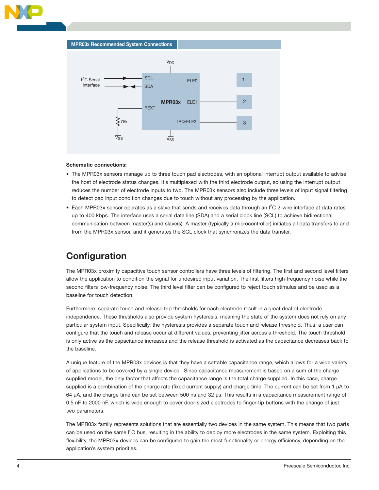

### Schematic connections:

- The MPR03x sensors manage up to three touch pad electrodes, with an optional interrupt output available to advise the host of electrode status changes. It's multiplexed with the third electrode output, so using the interrupt output reduces the number of electrode inputs to two. The MPR03x sensors also include three levels of input signal filtering to detect pad input condition changes due to touch without any processing by the application.
- Each MPR03x sensor operates as a slave that sends and receives data through an  $l^2C$  2-wire interface at data rates up to 400 kbps. The interface uses a serial data line (SDA) and a serial clock line (SCL) to achieve bidirectional communication between master(s) and slave(s). A master (typically a microcontroller) initiates all data transfers to and from the MPR03x sensor, and it generates the SCL clock that synchronizes the data transfer.

## **Configuration**

The MPR03x proximity capacitive touch sensor controllers have three levels of filtering. The first and second level filters allow the application to condition the signal for undesired input variation. The first filters high-frequency noise while the second filters low-frequency noise. The third level filter can be configured to reject touch stimulus and be used as a baseline for touch detection.

Furthermore, separate touch and release trip thresholds for each electrode result in a great deal of electrode independence. These thresholds also provide system hysteresis, meaning the state of the system does not rely on any particular system input. Specifically, the hysteresis provides a separate touch and release threshold. Thus, a user can configure that the touch and release occur at different values, preventing jitter across a threshold. The touch threshold is only active as the capacitance increases and the release threshold is activated as the capacitance decreases back to the baseline.

A unique feature of the MPR03x devices is that they have a settable capacitance range, which allows for a wide variety of applications to be covered by a single device. Since capacitance measurement is based on a sum of the charge supplied model, the only factor that affects the capacitance range is the total charge supplied. In this case, charge supplied is a combination of the charge rate (fixed current supply) and charge time. The current can be set from 1 μA to 64 μA, and the charge time can be set between 500 ns and 32 μs. This results in a capacitance measurement range of 0.5 nF to 2000 nF, which is wide enough to cover door-sized electrodes to finger-tip buttons with the change of just two parameters.

The MPR03x family represents solutions that are essentially two devices in the same system. This means that two parts can be used on the same I<sup>2</sup>C bus, resulting in the ability to deploy more electrodes in the same system. Exploiting this flexibility, the MPR03x devices can be configured to gain the most functionality or energy efficiency, depending on the application's system priorities.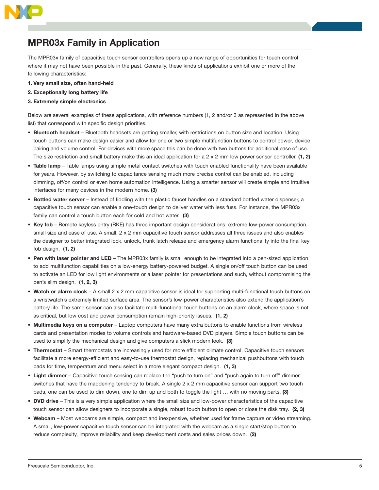

## MPR03x Family in Application

The MPR03x family of capacitive touch sensor controllers opens up a new range of opportunities for touch control where it may not have been possible in the past. Generally, these kinds of applications exhibit one or more of the following characteristics:

- 1. Very small size, often hand-held
- 2. Exceptionally long battery life
- 3. Extremely simple electronics

Below are several examples of these applications, with reference numbers (1, 2 and/or 3 as represented in the above list) that correspond with specific design priorities.

- Bluetooth headset Bluetooth headsets are getting smaller, with restrictions on button size and location. Using touch buttons can make design easier and allow for one or two simple multifunction buttons to control power, device pairing and volume control. For devices with more space this can be done with two buttons for additional ease of use. The size restriction and small battery make this an ideal application for a  $2 \times 2$  mm low power sensor controller. (1, 2)
- Table lamp Table lamps using simple metal contact switches with touch enabled functionality have been available for years. However, by switching to capacitance sensing much more precise control can be enabled, including dimming, off/on control or even home automation intelligence. Using a smarter sensor will create simple and intuitive interfaces for many devices in the modern home. (3)
- Bottled water server Instead of fiddling with the plastic faucet handles on a standard bottled water dispenser, a capacitive touch sensor can enable a one-touch design to deliver water with less fuss. For instance, the MPR03x family can control a touch button each for cold and hot water. (3)
- • Key fob Remote keyless entry (RKE) has three important design considerations: extreme low-power consumption, small size and ease of use. A small, 2 x 2 mm capacitive touch sensor addresses all three issues and also enables the designer to better integrated lock, unlock, trunk latch release and emergency alarm functionality into the final key fob design. (1, 2)
- Pen with laser pointer and LED The MPR03x family is small enough to be integrated into a pen-sized application to add multifunction capabilities on a low-energy battery-powered budget. A single on/off touch button can be used to activate an LED for low light environments or a laser pointer for presentations and such, without compromising the pen's slim design. (1, 2, 3)
- Watch or alarm clock A small 2 x 2 mm capacitive sensor is ideal for supporting multi-functional touch buttons on a wristwatch's extremely limited surface area. The sensor's low-power characteristics also extend the application's battery life. The same sensor can also facilitate multi-functional touch buttons on an alarm clock, where space is not as critical, but low cost and power consumption remain high-priority issues. (1, 2)
- Multimedia keys on a computer Laptop computers have many extra buttons to enable functions from wireless cards and presentation modes to volume controls and hardware-based DVD players. Simple touch buttons can be used to simplify the mechanical design and give computers a slick modern look. (3)
- Thermostat Smart thermostats are increasingly used for more efficient climate control. Capacitive touch sensors facilitate a more energy-efficient and easy-to-use thermostat design, replacing mechanical pushbuttons with touch pads for time, temperature and menu select in a more elegant compact design. (1, 3)
- Light dimmer Capacitive touch sensing can replace the "push to turn on" and "push again to turn off" dimmer switches that have the maddening tendency to break. A single 2 x 2 mm capacitive sensor can support two touch pads, one can be used to dim down, one to dim up and both to toggle the light ... with no moving parts. (3)
- DVD drive This is a very simple application where the small size and low-power characteristics of the capacitive touch sensor can allow designers to incorporate a single, robust touch button to open or close the disk tray. (2, 3)
- • Webcam Most webcams are simple, compact and inexpensive, whether used for frame capture or video streaming. A small, low-power capacitive touch sensor can be integrated with the webcam as a single start/stop button to reduce complexity, improve reliability and keep development costs and sales prices down. (2)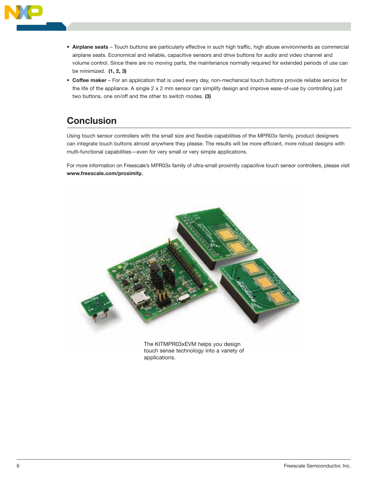

- Airplane seats Touch buttons are particularly effective in such high traffic, high abuse environments as commercial airplane seats. Economical and reliable, capacitive sensors and drive buttons for audio and video channel and volume control. Since there are no moving parts, the maintenance normally required for extended periods of use can be minimized. (1, 2, 3)
- Coffee maker For an application that is used every day, non-mechanical touch buttons provide reliable service for the life of the appliance. A single 2 x 2 mm sensor can simplify design and improve ease-of-use by controlling just two buttons, one on/off and the other to switch modes. (3)

## **Conclusion**

Using touch sensor controllers with the small size and flexible capabilities of the MPR03x family, product designers can integrate touch buttons almost anywhere they please. The results will be more efficient, more robust designs with multi-functional capabilities—even for very small or very simple applications.

For more information on Freescale's MPR03x family of ultra-small proximity capacitive touch sensor controllers, please visit www.freescale.com/proximity.



touch sense technology into a variety of applications.